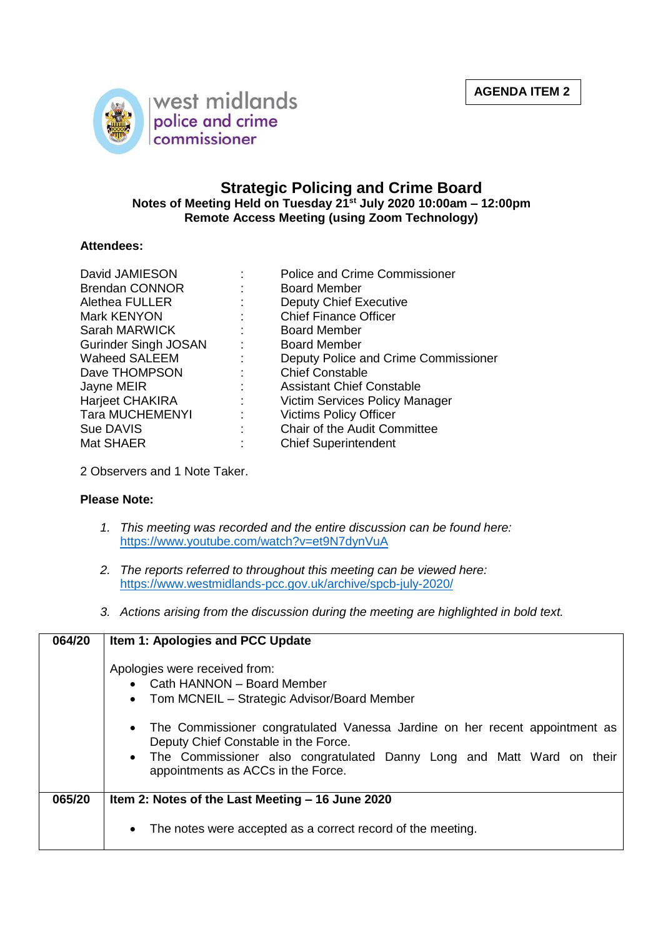

## **Strategic Policing and Crime Board Notes of Meeting Held on Tuesday 21st July 2020 10:00am – 12:00pm Remote Access Meeting (using Zoom Technology)**

## **Attendees:**

| David JAMIESON              |                           | <b>Police and Crime Commissioner</b> |
|-----------------------------|---------------------------|--------------------------------------|
| <b>Brendan CONNOR</b>       |                           | <b>Board Member</b>                  |
| <b>Alethea FULLER</b>       |                           | <b>Deputy Chief Executive</b>        |
| Mark KENYON                 |                           | <b>Chief Finance Officer</b>         |
| Sarah MARWICK               | $\mathcal{L}$             | <b>Board Member</b>                  |
| <b>Gurinder Singh JOSAN</b> |                           | <b>Board Member</b>                  |
| <b>Waheed SALEEM</b>        | $\mathbb{Z}^{\mathbb{Z}}$ | Deputy Police and Crime Commissioner |
| Dave THOMPSON               |                           | <b>Chief Constable</b>               |
| Jayne MEIR                  |                           | <b>Assistant Chief Constable</b>     |
| Harjeet CHAKIRA             | $\mathbb{Z}^{\mathbb{Z}}$ | Victim Services Policy Manager       |
| <b>Tara MUCHEMENYI</b>      | ÷                         | <b>Victims Policy Officer</b>        |
| Sue DAVIS                   |                           | Chair of the Audit Committee         |
| Mat SHAER                   |                           | <b>Chief Superintendent</b>          |

2 Observers and 1 Note Taker.

## **Please Note:**

- *1. This meeting was recorded and the entire discussion can be found here:* <https://www.youtube.com/watch?v=et9N7dynVuA>
- *2. The reports referred to throughout this meeting can be viewed here:* <https://www.westmidlands-pcc.gov.uk/archive/spcb-july-2020/>
- *3. Actions arising from the discussion during the meeting are highlighted in bold text.*

| 064/20 | Item 1: Apologies and PCC Update                                                                                                                                                                                                                                                                                                                                  |
|--------|-------------------------------------------------------------------------------------------------------------------------------------------------------------------------------------------------------------------------------------------------------------------------------------------------------------------------------------------------------------------|
|        | Apologies were received from:<br>• Cath HANNON – Board Member<br>Tom MCNEIL - Strategic Advisor/Board Member<br>$\bullet$<br>The Commissioner congratulated Vanessa Jardine on her recent appointment as<br>Deputy Chief Constable in the Force.<br>• The Commissioner also congratulated Danny Long and Matt Ward on their<br>appointments as ACCs in the Force. |
| 065/20 | Item 2: Notes of the Last Meeting - 16 June 2020                                                                                                                                                                                                                                                                                                                  |
|        | The notes were accepted as a correct record of the meeting.<br>$\bullet$                                                                                                                                                                                                                                                                                          |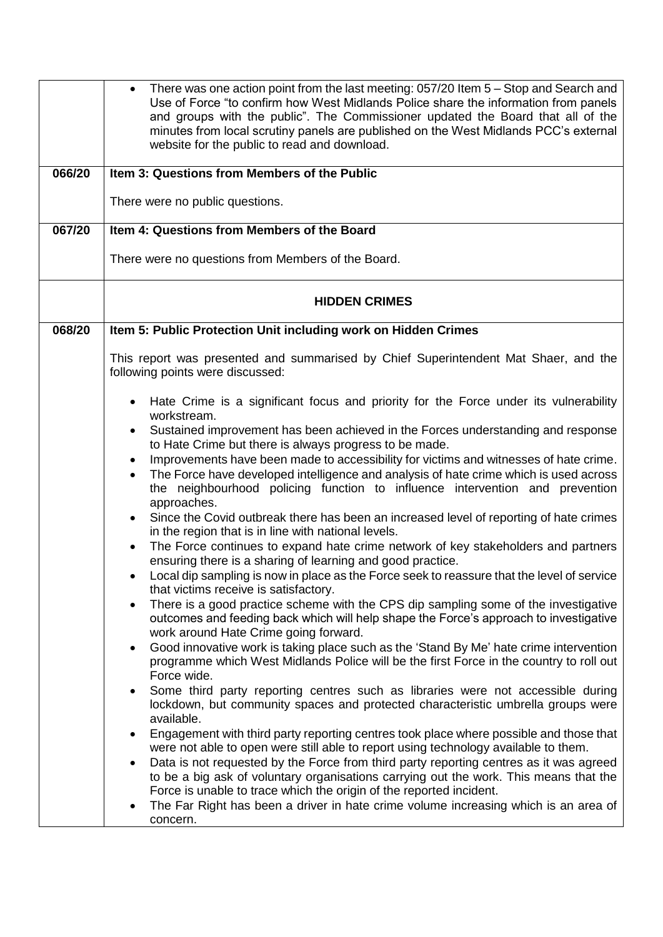| 066/20<br>067/20 | There was one action point from the last meeting: 057/20 Item 5 - Stop and Search and<br>$\bullet$<br>Use of Force "to confirm how West Midlands Police share the information from panels<br>and groups with the public". The Commissioner updated the Board that all of the<br>minutes from local scrutiny panels are published on the West Midlands PCC's external<br>website for the public to read and download.<br>Item 3: Questions from Members of the Public<br>There were no public questions.<br>Item 4: Questions from Members of the Board                                                                                                                                                                                                                                                                                                                                                                                                                                                                                                                                                                                                                                                                                                                                                                                                                                                                                                                                                                                                                                                                                                                                                                                                                                                                                                                                                                                                                                                                                                                                                                                        |
|------------------|-----------------------------------------------------------------------------------------------------------------------------------------------------------------------------------------------------------------------------------------------------------------------------------------------------------------------------------------------------------------------------------------------------------------------------------------------------------------------------------------------------------------------------------------------------------------------------------------------------------------------------------------------------------------------------------------------------------------------------------------------------------------------------------------------------------------------------------------------------------------------------------------------------------------------------------------------------------------------------------------------------------------------------------------------------------------------------------------------------------------------------------------------------------------------------------------------------------------------------------------------------------------------------------------------------------------------------------------------------------------------------------------------------------------------------------------------------------------------------------------------------------------------------------------------------------------------------------------------------------------------------------------------------------------------------------------------------------------------------------------------------------------------------------------------------------------------------------------------------------------------------------------------------------------------------------------------------------------------------------------------------------------------------------------------------------------------------------------------------------------------------------------------|
|                  | There were no questions from Members of the Board.                                                                                                                                                                                                                                                                                                                                                                                                                                                                                                                                                                                                                                                                                                                                                                                                                                                                                                                                                                                                                                                                                                                                                                                                                                                                                                                                                                                                                                                                                                                                                                                                                                                                                                                                                                                                                                                                                                                                                                                                                                                                                            |
|                  | <b>HIDDEN CRIMES</b>                                                                                                                                                                                                                                                                                                                                                                                                                                                                                                                                                                                                                                                                                                                                                                                                                                                                                                                                                                                                                                                                                                                                                                                                                                                                                                                                                                                                                                                                                                                                                                                                                                                                                                                                                                                                                                                                                                                                                                                                                                                                                                                          |
| 068/20           | Item 5: Public Protection Unit including work on Hidden Crimes                                                                                                                                                                                                                                                                                                                                                                                                                                                                                                                                                                                                                                                                                                                                                                                                                                                                                                                                                                                                                                                                                                                                                                                                                                                                                                                                                                                                                                                                                                                                                                                                                                                                                                                                                                                                                                                                                                                                                                                                                                                                                |
|                  | This report was presented and summarised by Chief Superintendent Mat Shaer, and the<br>following points were discussed:                                                                                                                                                                                                                                                                                                                                                                                                                                                                                                                                                                                                                                                                                                                                                                                                                                                                                                                                                                                                                                                                                                                                                                                                                                                                                                                                                                                                                                                                                                                                                                                                                                                                                                                                                                                                                                                                                                                                                                                                                       |
|                  | Hate Crime is a significant focus and priority for the Force under its vulnerability<br>workstream.<br>Sustained improvement has been achieved in the Forces understanding and response<br>to Hate Crime but there is always progress to be made.<br>Improvements have been made to accessibility for victims and witnesses of hate crime.<br>The Force have developed intelligence and analysis of hate crime which is used across<br>the neighbourhood policing function to influence intervention and prevention<br>approaches.<br>Since the Covid outbreak there has been an increased level of reporting of hate crimes<br>in the region that is in line with national levels.<br>The Force continues to expand hate crime network of key stakeholders and partners<br>ensuring there is a sharing of learning and good practice.<br>Local dip sampling is now in place as the Force seek to reassure that the level of service<br>that victims receive is satisfactory.<br>There is a good practice scheme with the CPS dip sampling some of the investigative<br>outcomes and feeding back which will help shape the Force's approach to investigative<br>work around Hate Crime going forward.<br>Good innovative work is taking place such as the 'Stand By Me' hate crime intervention<br>programme which West Midlands Police will be the first Force in the country to roll out<br>Force wide.<br>Some third party reporting centres such as libraries were not accessible during<br>lockdown, but community spaces and protected characteristic umbrella groups were<br>available.<br>Engagement with third party reporting centres took place where possible and those that<br>were not able to open were still able to report using technology available to them.<br>Data is not requested by the Force from third party reporting centres as it was agreed<br>to be a big ask of voluntary organisations carrying out the work. This means that the<br>Force is unable to trace which the origin of the reported incident.<br>The Far Right has been a driver in hate crime volume increasing which is an area of<br>concern. |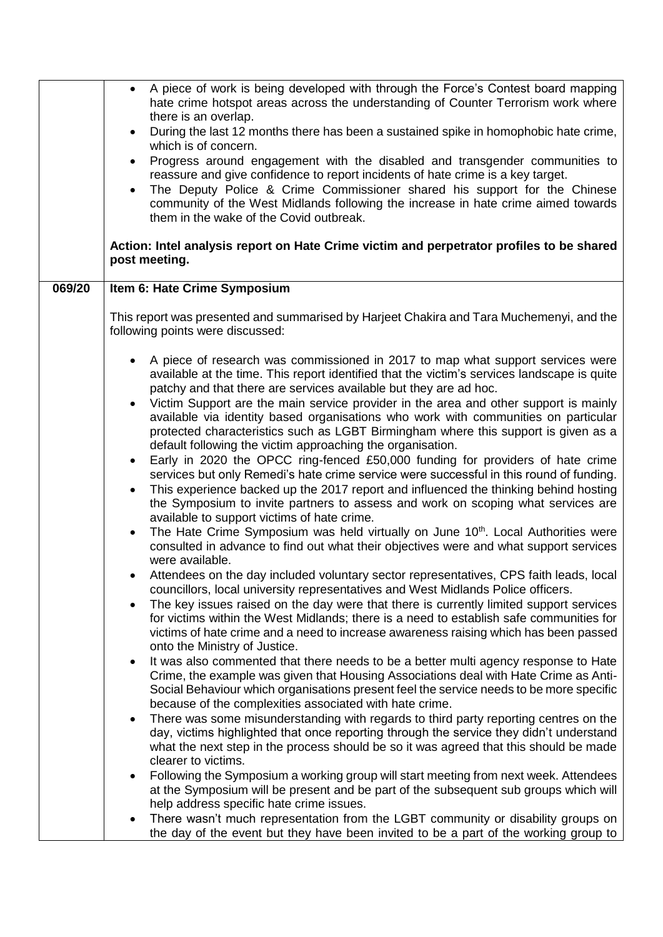|        | A piece of work is being developed with through the Force's Contest board mapping<br>hate crime hotspot areas across the understanding of Counter Terrorism work where<br>there is an overlap.<br>During the last 12 months there has been a sustained spike in homophobic hate crime,<br>which is of concern.<br>Progress around engagement with the disabled and transgender communities to<br>$\bullet$<br>reassure and give confidence to report incidents of hate crime is a key target. |
|--------|-----------------------------------------------------------------------------------------------------------------------------------------------------------------------------------------------------------------------------------------------------------------------------------------------------------------------------------------------------------------------------------------------------------------------------------------------------------------------------------------------|
|        | The Deputy Police & Crime Commissioner shared his support for the Chinese<br>community of the West Midlands following the increase in hate crime aimed towards<br>them in the wake of the Covid outbreak.                                                                                                                                                                                                                                                                                     |
|        | Action: Intel analysis report on Hate Crime victim and perpetrator profiles to be shared<br>post meeting.                                                                                                                                                                                                                                                                                                                                                                                     |
| 069/20 | Item 6: Hate Crime Symposium                                                                                                                                                                                                                                                                                                                                                                                                                                                                  |
|        | This report was presented and summarised by Harjeet Chakira and Tara Muchemenyi, and the<br>following points were discussed:                                                                                                                                                                                                                                                                                                                                                                  |
|        | A piece of research was commissioned in 2017 to map what support services were<br>available at the time. This report identified that the victim's services landscape is quite<br>patchy and that there are services available but they are ad hoc.                                                                                                                                                                                                                                            |
|        | Victim Support are the main service provider in the area and other support is mainly<br>available via identity based organisations who work with communities on particular<br>protected characteristics such as LGBT Birmingham where this support is given as a<br>default following the victim approaching the organisation.                                                                                                                                                                |
|        | Early in 2020 the OPCC ring-fenced £50,000 funding for providers of hate crime<br>$\bullet$<br>services but only Remedi's hate crime service were successful in this round of funding.<br>This experience backed up the 2017 report and influenced the thinking behind hosting<br>$\bullet$<br>the Symposium to invite partners to assess and work on scoping what services are<br>available to support victims of hate crime.                                                                |
|        | The Hate Crime Symposium was held virtually on June 10 <sup>th</sup> . Local Authorities were<br>consulted in advance to find out what their objectives were and what support services<br>were available.                                                                                                                                                                                                                                                                                     |
|        | Attendees on the day included voluntary sector representatives, CPS faith leads, local<br>councillors, local university representatives and West Midlands Police officers.                                                                                                                                                                                                                                                                                                                    |
|        | The key issues raised on the day were that there is currently limited support services<br>for victims within the West Midlands; there is a need to establish safe communities for<br>victims of hate crime and a need to increase awareness raising which has been passed<br>onto the Ministry of Justice.                                                                                                                                                                                    |
|        | It was also commented that there needs to be a better multi agency response to Hate<br>Crime, the example was given that Housing Associations deal with Hate Crime as Anti-<br>Social Behaviour which organisations present feel the service needs to be more specific<br>because of the complexities associated with hate crime.                                                                                                                                                             |
|        | There was some misunderstanding with regards to third party reporting centres on the<br>day, victims highlighted that once reporting through the service they didn't understand<br>what the next step in the process should be so it was agreed that this should be made<br>clearer to victims.                                                                                                                                                                                               |
|        | Following the Symposium a working group will start meeting from next week. Attendees<br>at the Symposium will be present and be part of the subsequent sub groups which will<br>help address specific hate crime issues.                                                                                                                                                                                                                                                                      |
|        | There wasn't much representation from the LGBT community or disability groups on<br>the day of the event but they have been invited to be a part of the working group to                                                                                                                                                                                                                                                                                                                      |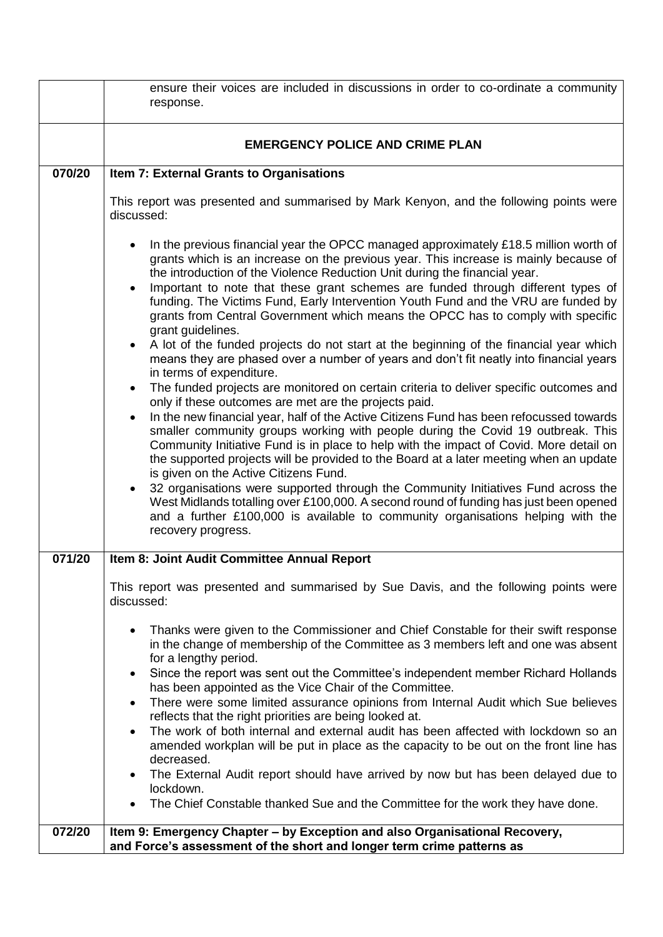|        | ensure their voices are included in discussions in order to co-ordinate a community                                                                                                                                                                                                                                                                                                                                                                                                                                                                                                                                                                                                                                                                                                                                                                                                                                         |
|--------|-----------------------------------------------------------------------------------------------------------------------------------------------------------------------------------------------------------------------------------------------------------------------------------------------------------------------------------------------------------------------------------------------------------------------------------------------------------------------------------------------------------------------------------------------------------------------------------------------------------------------------------------------------------------------------------------------------------------------------------------------------------------------------------------------------------------------------------------------------------------------------------------------------------------------------|
|        | response.                                                                                                                                                                                                                                                                                                                                                                                                                                                                                                                                                                                                                                                                                                                                                                                                                                                                                                                   |
|        |                                                                                                                                                                                                                                                                                                                                                                                                                                                                                                                                                                                                                                                                                                                                                                                                                                                                                                                             |
|        | <b>EMERGENCY POLICE AND CRIME PLAN</b>                                                                                                                                                                                                                                                                                                                                                                                                                                                                                                                                                                                                                                                                                                                                                                                                                                                                                      |
| 070/20 | Item 7: External Grants to Organisations                                                                                                                                                                                                                                                                                                                                                                                                                                                                                                                                                                                                                                                                                                                                                                                                                                                                                    |
|        | This report was presented and summarised by Mark Kenyon, and the following points were<br>discussed:                                                                                                                                                                                                                                                                                                                                                                                                                                                                                                                                                                                                                                                                                                                                                                                                                        |
|        | In the previous financial year the OPCC managed approximately £18.5 million worth of<br>grants which is an increase on the previous year. This increase is mainly because of<br>the introduction of the Violence Reduction Unit during the financial year.<br>Important to note that these grant schemes are funded through different types of<br>$\bullet$<br>funding. The Victims Fund, Early Intervention Youth Fund and the VRU are funded by<br>grants from Central Government which means the OPCC has to comply with specific<br>grant guidelines.<br>A lot of the funded projects do not start at the beginning of the financial year which<br>means they are phased over a number of years and don't fit neatly into financial years                                                                                                                                                                               |
|        | in terms of expenditure.<br>The funded projects are monitored on certain criteria to deliver specific outcomes and<br>$\bullet$<br>only if these outcomes are met are the projects paid.<br>In the new financial year, half of the Active Citizens Fund has been refocussed towards<br>$\bullet$<br>smaller community groups working with people during the Covid 19 outbreak. This<br>Community Initiative Fund is in place to help with the impact of Covid. More detail on<br>the supported projects will be provided to the Board at a later meeting when an update<br>is given on the Active Citizens Fund.<br>32 organisations were supported through the Community Initiatives Fund across the<br>$\bullet$<br>West Midlands totalling over £100,000. A second round of funding has just been opened<br>and a further £100,000 is available to community organisations helping with the<br>recovery progress.        |
| 071/20 | Item 8: Joint Audit Committee Annual Report                                                                                                                                                                                                                                                                                                                                                                                                                                                                                                                                                                                                                                                                                                                                                                                                                                                                                 |
|        | This report was presented and summarised by Sue Davis, and the following points were<br>discussed:                                                                                                                                                                                                                                                                                                                                                                                                                                                                                                                                                                                                                                                                                                                                                                                                                          |
|        | Thanks were given to the Commissioner and Chief Constable for their swift response<br>$\bullet$<br>in the change of membership of the Committee as 3 members left and one was absent<br>for a lengthy period.<br>Since the report was sent out the Committee's independent member Richard Hollands<br>٠<br>has been appointed as the Vice Chair of the Committee.<br>There were some limited assurance opinions from Internal Audit which Sue believes<br>$\bullet$<br>reflects that the right priorities are being looked at.<br>The work of both internal and external audit has been affected with lockdown so an<br>$\bullet$<br>amended workplan will be put in place as the capacity to be out on the front line has<br>decreased.<br>The External Audit report should have arrived by now but has been delayed due to<br>lockdown.<br>The Chief Constable thanked Sue and the Committee for the work they have done. |
| 072/20 | Item 9: Emergency Chapter - by Exception and also Organisational Recovery,<br>and Force's assessment of the short and longer term crime patterns as                                                                                                                                                                                                                                                                                                                                                                                                                                                                                                                                                                                                                                                                                                                                                                         |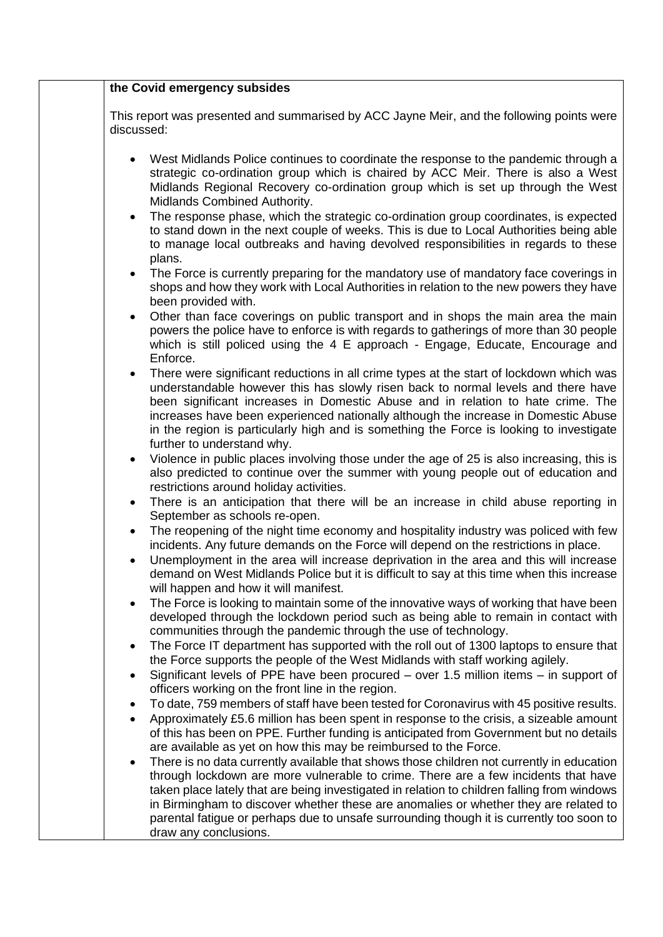| the Covid emergency subsides                                                                                                                                                                                                                                                                                                                                                                                                                                                                             |
|----------------------------------------------------------------------------------------------------------------------------------------------------------------------------------------------------------------------------------------------------------------------------------------------------------------------------------------------------------------------------------------------------------------------------------------------------------------------------------------------------------|
| This report was presented and summarised by ACC Jayne Meir, and the following points were<br>discussed:                                                                                                                                                                                                                                                                                                                                                                                                  |
| West Midlands Police continues to coordinate the response to the pandemic through a<br>$\bullet$<br>strategic co-ordination group which is chaired by ACC Meir. There is also a West<br>Midlands Regional Recovery co-ordination group which is set up through the West<br>Midlands Combined Authority.                                                                                                                                                                                                  |
| The response phase, which the strategic co-ordination group coordinates, is expected<br>$\bullet$<br>to stand down in the next couple of weeks. This is due to Local Authorities being able<br>to manage local outbreaks and having devolved responsibilities in regards to these<br>plans.                                                                                                                                                                                                              |
| The Force is currently preparing for the mandatory use of mandatory face coverings in<br>$\bullet$<br>shops and how they work with Local Authorities in relation to the new powers they have<br>been provided with.                                                                                                                                                                                                                                                                                      |
| Other than face coverings on public transport and in shops the main area the main<br>$\bullet$<br>powers the police have to enforce is with regards to gatherings of more than 30 people<br>which is still policed using the 4 E approach - Engage, Educate, Encourage and<br>Enforce.                                                                                                                                                                                                                   |
| There were significant reductions in all crime types at the start of lockdown which was<br>$\bullet$<br>understandable however this has slowly risen back to normal levels and there have<br>been significant increases in Domestic Abuse and in relation to hate crime. The<br>increases have been experienced nationally although the increase in Domestic Abuse<br>in the region is particularly high and is something the Force is looking to investigate<br>further to understand why.              |
| Violence in public places involving those under the age of 25 is also increasing, this is<br>$\bullet$<br>also predicted to continue over the summer with young people out of education and<br>restrictions around holiday activities.                                                                                                                                                                                                                                                                   |
| There is an anticipation that there will be an increase in child abuse reporting in<br>$\bullet$<br>September as schools re-open.                                                                                                                                                                                                                                                                                                                                                                        |
| The reopening of the night time economy and hospitality industry was policed with few<br>$\bullet$<br>incidents. Any future demands on the Force will depend on the restrictions in place.<br>Unemployment in the area will increase deprivation in the area and this will increase<br>demand on West Midlands Police but it is difficult to say at this time when this increase<br>will happen and how it will manifest.                                                                                |
| The Force is looking to maintain some of the innovative ways of working that have been<br>developed through the lockdown period such as being able to remain in contact with<br>communities through the pandemic through the use of technology.                                                                                                                                                                                                                                                          |
| The Force IT department has supported with the roll out of 1300 laptops to ensure that<br>$\bullet$<br>the Force supports the people of the West Midlands with staff working agilely.<br>Significant levels of PPE have been procured $-$ over 1.5 million items $-$ in support of<br>$\bullet$                                                                                                                                                                                                          |
| officers working on the front line in the region.<br>To date, 759 members of staff have been tested for Coronavirus with 45 positive results.<br>$\bullet$<br>Approximately £5.6 million has been spent in response to the crisis, a sizeable amount<br>$\bullet$<br>of this has been on PPE. Further funding is anticipated from Government but no details<br>are available as yet on how this may be reimbursed to the Force.                                                                          |
| There is no data currently available that shows those children not currently in education<br>$\bullet$<br>through lockdown are more vulnerable to crime. There are a few incidents that have<br>taken place lately that are being investigated in relation to children falling from windows<br>in Birmingham to discover whether these are anomalies or whether they are related to<br>parental fatigue or perhaps due to unsafe surrounding though it is currently too soon to<br>draw any conclusions. |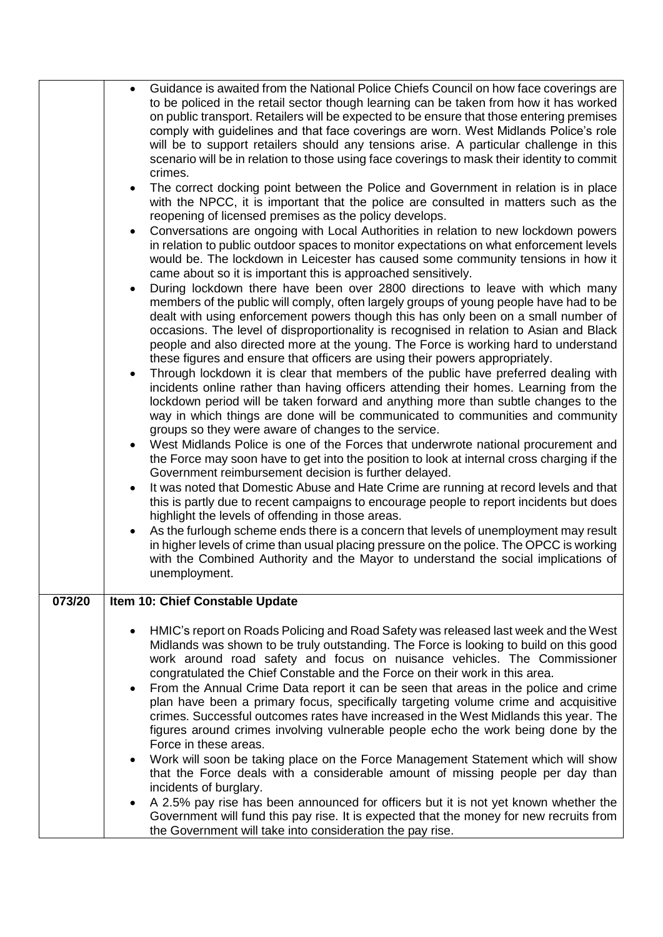|        |   | Guidance is awaited from the National Police Chiefs Council on how face coverings are<br>to be policed in the retail sector though learning can be taken from how it has worked                                                                                                                                                                                                                                                                                                                                                                                                                                                                                                                                                                                                                                                                                                                                                                                                                                                                                                                                                                                                                                                                                                                                                                                                                                                                                                                                                                                                                                                                                                                                                                                                                                                                                                                                                                                                                                                                                                                                                                                                                                                                                                                                                                                                                                                                                                                                                                                                                    |
|--------|---|----------------------------------------------------------------------------------------------------------------------------------------------------------------------------------------------------------------------------------------------------------------------------------------------------------------------------------------------------------------------------------------------------------------------------------------------------------------------------------------------------------------------------------------------------------------------------------------------------------------------------------------------------------------------------------------------------------------------------------------------------------------------------------------------------------------------------------------------------------------------------------------------------------------------------------------------------------------------------------------------------------------------------------------------------------------------------------------------------------------------------------------------------------------------------------------------------------------------------------------------------------------------------------------------------------------------------------------------------------------------------------------------------------------------------------------------------------------------------------------------------------------------------------------------------------------------------------------------------------------------------------------------------------------------------------------------------------------------------------------------------------------------------------------------------------------------------------------------------------------------------------------------------------------------------------------------------------------------------------------------------------------------------------------------------------------------------------------------------------------------------------------------------------------------------------------------------------------------------------------------------------------------------------------------------------------------------------------------------------------------------------------------------------------------------------------------------------------------------------------------------------------------------------------------------------------------------------------------------|
|        |   | on public transport. Retailers will be expected to be ensure that those entering premises<br>comply with guidelines and that face coverings are worn. West Midlands Police's role<br>will be to support retailers should any tensions arise. A particular challenge in this<br>scenario will be in relation to those using face coverings to mask their identity to commit<br>crimes.<br>The correct docking point between the Police and Government in relation is in place<br>with the NPCC, it is important that the police are consulted in matters such as the<br>reopening of licensed premises as the policy develops.<br>Conversations are ongoing with Local Authorities in relation to new lockdown powers<br>in relation to public outdoor spaces to monitor expectations on what enforcement levels<br>would be. The lockdown in Leicester has caused some community tensions in how it<br>came about so it is important this is approached sensitively.<br>During lockdown there have been over 2800 directions to leave with which many<br>members of the public will comply, often largely groups of young people have had to be<br>dealt with using enforcement powers though this has only been on a small number of<br>occasions. The level of disproportionality is recognised in relation to Asian and Black<br>people and also directed more at the young. The Force is working hard to understand<br>these figures and ensure that officers are using their powers appropriately.<br>Through lockdown it is clear that members of the public have preferred dealing with<br>incidents online rather than having officers attending their homes. Learning from the<br>lockdown period will be taken forward and anything more than subtle changes to the<br>way in which things are done will be communicated to communities and community<br>groups so they were aware of changes to the service.<br>West Midlands Police is one of the Forces that underwrote national procurement and<br>the Force may soon have to get into the position to look at internal cross charging if the<br>Government reimbursement decision is further delayed.<br>It was noted that Domestic Abuse and Hate Crime are running at record levels and that<br>this is partly due to recent campaigns to encourage people to report incidents but does<br>highlight the levels of offending in those areas.<br>As the furlough scheme ends there is a concern that levels of unemployment may result<br>in higher levels of crime than usual placing pressure on the police. The OPCC is working |
|        |   | with the Combined Authority and the Mayor to understand the social implications of<br>unemployment.                                                                                                                                                                                                                                                                                                                                                                                                                                                                                                                                                                                                                                                                                                                                                                                                                                                                                                                                                                                                                                                                                                                                                                                                                                                                                                                                                                                                                                                                                                                                                                                                                                                                                                                                                                                                                                                                                                                                                                                                                                                                                                                                                                                                                                                                                                                                                                                                                                                                                                |
| 073/20 |   | Item 10: Chief Constable Update                                                                                                                                                                                                                                                                                                                                                                                                                                                                                                                                                                                                                                                                                                                                                                                                                                                                                                                                                                                                                                                                                                                                                                                                                                                                                                                                                                                                                                                                                                                                                                                                                                                                                                                                                                                                                                                                                                                                                                                                                                                                                                                                                                                                                                                                                                                                                                                                                                                                                                                                                                    |
|        | ٠ | HMIC's report on Roads Policing and Road Safety was released last week and the West<br>Midlands was shown to be truly outstanding. The Force is looking to build on this good<br>work around road safety and focus on nuisance vehicles. The Commissioner<br>congratulated the Chief Constable and the Force on their work in this area.<br>From the Annual Crime Data report it can be seen that areas in the police and crime<br>plan have been a primary focus, specifically targeting volume crime and acquisitive<br>crimes. Successful outcomes rates have increased in the West Midlands this year. The<br>figures around crimes involving vulnerable people echo the work being done by the<br>Force in these areas.                                                                                                                                                                                                                                                                                                                                                                                                                                                                                                                                                                                                                                                                                                                                                                                                                                                                                                                                                                                                                                                                                                                                                                                                                                                                                                                                                                                                                                                                                                                                                                                                                                                                                                                                                                                                                                                                       |
|        |   | Work will soon be taking place on the Force Management Statement which will show<br>that the Force deals with a considerable amount of missing people per day than<br>incidents of burglary.<br>A 2.5% pay rise has been announced for officers but it is not yet known whether the<br>Government will fund this pay rise. It is expected that the money for new recruits from<br>the Government will take into consideration the pay rise.                                                                                                                                                                                                                                                                                                                                                                                                                                                                                                                                                                                                                                                                                                                                                                                                                                                                                                                                                                                                                                                                                                                                                                                                                                                                                                                                                                                                                                                                                                                                                                                                                                                                                                                                                                                                                                                                                                                                                                                                                                                                                                                                                        |